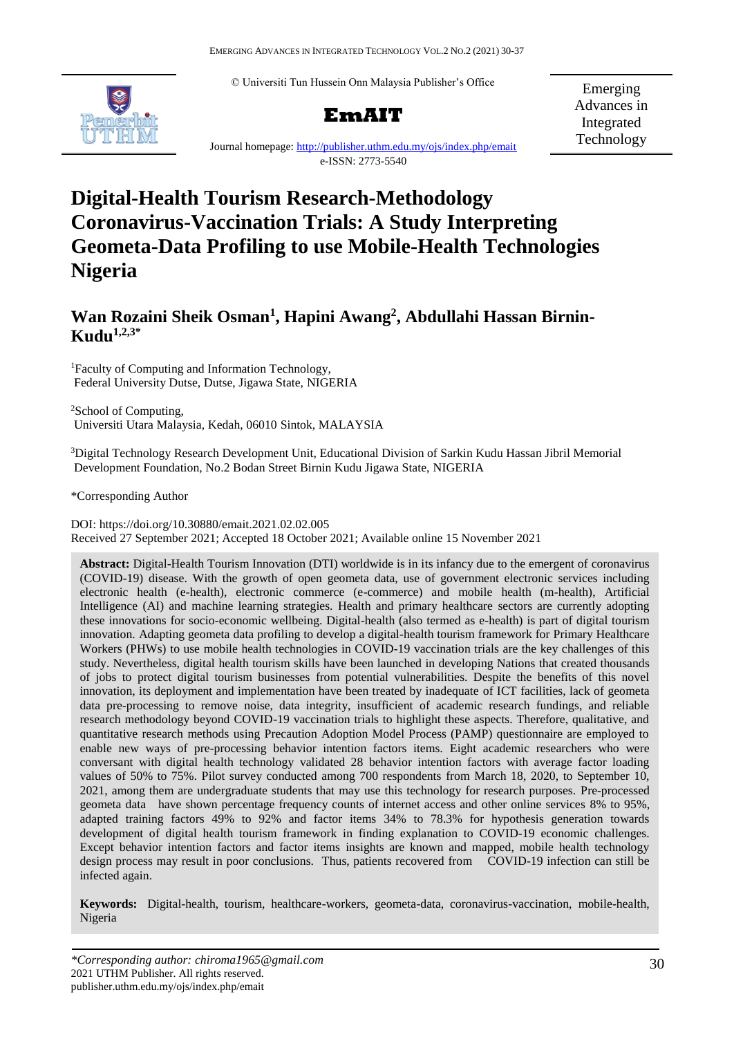© Universiti Tun Hussein Onn Malaysia Publisher's Office



# **EmAIT**

Emerging Advances in Integrated Technology

Journal homepage:<http://publisher.uthm.edu.my/ojs/index.php/emait> e-ISSN: 2773-5540

# **Digital-Health Tourism Research-Methodology Coronavirus-Vaccination Trials: A Study Interpreting Geometa-Data Profiling to use Mobile-Health Technologies Nigeria**

# **Wan Rozaini Sheik Osman<sup>1</sup> , Hapini Awang<sup>2</sup> , Abdullahi Hassan Birnin-Kudu1,2,3\***

<sup>1</sup>Faculty of Computing and Information Technology, Federal University Dutse, Dutse, Jigawa State, NIGERIA

<sup>2</sup>School of Computing, Universiti Utara Malaysia, Kedah, 06010 Sintok, MALAYSIA

<sup>3</sup>Digital Technology Research Development Unit, Educational Division of Sarkin Kudu Hassan Jibril Memorial Development Foundation, No.2 Bodan Street Birnin Kudu Jigawa State, NIGERIA

\*Corresponding Author

DOI: https://doi.org/10.30880/emait.2021.02.02.005 Received 27 September 2021; Accepted 18 October 2021; Available online 15 November 2021

**Abstract:** Digital-Health Tourism Innovation (DTI) worldwide is in its infancy due to the emergent of coronavirus (COVID-19) disease. With the growth of open geometa data, use of government electronic services including electronic health (e-health), electronic commerce (e-commerce) and mobile health (m-health), Artificial Intelligence (AI) and machine learning strategies. Health and primary healthcare sectors are currently adopting these innovations for socio-economic wellbeing. Digital-health (also termed as e-health) is part of digital tourism innovation. Adapting geometa data profiling to develop a digital-health tourism framework for Primary Healthcare Workers (PHWs) to use mobile health technologies in COVID-19 vaccination trials are the key challenges of this study. Nevertheless, digital health tourism skills have been launched in developing Nations that created thousands of jobs to protect digital tourism businesses from potential vulnerabilities. Despite the benefits of this novel innovation, its deployment and implementation have been treated by inadequate of ICT facilities, lack of geometa data pre-processing to remove noise, data integrity, insufficient of academic research fundings, and reliable research methodology beyond COVID-19 vaccination trials to highlight these aspects. Therefore, qualitative, and quantitative research methods using Precaution Adoption Model Process (PAMP) questionnaire are employed to enable new ways of pre-processing behavior intention factors items. Eight academic researchers who were conversant with digital health technology validated 28 behavior intention factors with average factor loading values of 50% to 75%. Pilot survey conducted among 700 respondents from March 18, 2020, to September 10, 2021, among them are undergraduate students that may use this technology for research purposes. Pre-processed geometa data have shown percentage frequency counts of internet access and other online services 8% to 95%, adapted training factors 49% to 92% and factor items 34% to 78.3% for hypothesis generation towards development of digital health tourism framework in finding explanation to COVID-19 economic challenges. Except behavior intention factors and factor items insights are known and mapped, mobile health technology design process may result in poor conclusions. Thus, patients recovered from COVID-19 infection can still be infected again.

**Keywords:** Digital-health, tourism, healthcare-workers, geometa-data, coronavirus-vaccination, mobile-health, Nigeria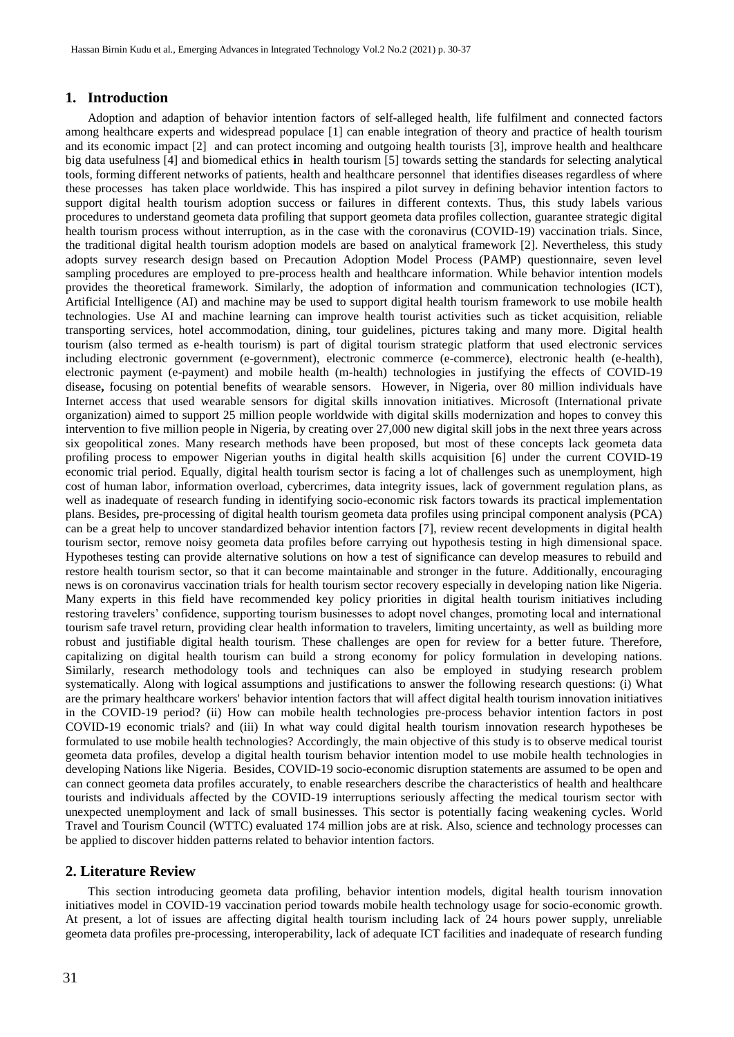#### **1. Introduction**

Adoption and adaption of behavior intention factors of self-alleged health, life fulfilment and connected factors among healthcare experts and widespread populace [1] can enable integration of theory and practice of health tourism and its economic impact [2] and can protect incoming and outgoing health tourists [3], improve health and healthcare big data usefulness [4] and biomedical ethics **i**n health tourism [5] towards setting the standards for selecting analytical tools, forming different networks of patients, health and healthcare personnel that identifies diseases regardless of where these processes has taken place worldwide. This has inspired a pilot survey in defining behavior intention factors to support digital health tourism adoption success or failures in different contexts. Thus, this study labels various procedures to understand geometa data profiling that support geometa data profiles collection, guarantee strategic digital health tourism process without interruption, as in the case with the coronavirus (COVID-19) vaccination trials. Since, the traditional digital health tourism adoption models are based on analytical framework [2]. Nevertheless, this study adopts survey research design based on Precaution Adoption Model Process (PAMP) questionnaire, seven level sampling procedures are employed to pre-process health and healthcare information. While behavior intention models provides the theoretical framework. Similarly, the adoption of information and communication technologies (ICT), Artificial Intelligence (AI) and machine may be used to support digital health tourism framework to use mobile health technologies. Use AI and machine learning can improve health tourist activities such as ticket acquisition, reliable transporting services, hotel accommodation, dining, tour guidelines, pictures taking and many more. Digital health tourism (also termed as e-health tourism) is part of digital tourism strategic platform that used electronic services including electronic government (e-government), electronic commerce (e-commerce), electronic health (e-health), electronic payment (e-payment) and mobile health (m-health) technologies in justifying the effects of COVID-19 disease**,** focusing on potential benefits of wearable sensors. However, in Nigeria, over 80 million individuals have Internet access that used wearable sensors for digital skills innovation initiatives. Microsoft (International private organization) aimed to support 25 million people worldwide with digital skills modernization and hopes to convey this intervention to five million people in Nigeria, by creating over 27,000 new digital skill jobs in the next three years across six geopolitical zones. Many research methods have been proposed, but most of these concepts lack geometa data profiling process to empower Nigerian youths in digital health skills acquisition [6] under the current COVID-19 economic trial period. Equally, digital health tourism sector is facing a lot of challenges such as unemployment, high cost of human labor, information overload, cybercrimes, data integrity issues, lack of government regulation plans, as well as inadequate of research funding in identifying socio-economic risk factors towards its practical implementation plans. Besides**,** pre-processing of digital health tourism geometa data profiles using principal component analysis (PCA) can be a great help to uncover standardized behavior intention factors [7], review recent developments in digital health tourism sector, remove noisy geometa data profiles before carrying out hypothesis testing in high dimensional space. Hypotheses testing can provide alternative solutions on how a test of significance can develop measures to rebuild and restore health tourism sector, so that it can become maintainable and stronger in the future. Additionally, encouraging news is on coronavirus vaccination trials for health tourism sector recovery especially in developing nation like Nigeria. Many experts in this field have recommended key policy priorities in digital health tourism initiatives including restoring travelers' confidence, supporting tourism businesses to adopt novel changes, promoting local and international tourism safe travel return, providing clear health information to travelers, limiting uncertainty, as well as building more robust and justifiable digital health tourism. These challenges are open for review for a better future. Therefore, capitalizing on digital health tourism can build a strong economy for policy formulation in developing nations. Similarly, research methodology tools and techniques can also be employed in studying research problem systematically. Along with logical assumptions and justifications to answer the following research questions: (i) What are the primary healthcare workers' behavior intention factors that will affect digital health tourism innovation initiatives in the COVID-19 period? (ii) How can mobile health technologies pre-process behavior intention factors in post COVID-19 economic trials? and (iii) In what way could digital health tourism innovation research hypotheses be formulated to use mobile health technologies? Accordingly, the main objective of this study is to observe medical tourist geometa data profiles, develop a digital health tourism behavior intention model to use mobile health technologies in developing Nations like Nigeria. Besides, COVID-19 socio-economic disruption statements are assumed to be open and can connect geometa data profiles accurately, to enable researchers describe the characteristics of health and healthcare tourists and individuals affected by the COVID-19 interruptions seriously affecting the medical tourism sector with unexpected unemployment and lack of small businesses. This sector is potentially facing weakening cycles. World Travel and Tourism Council (WTTC) evaluated 174 million jobs are at risk. Also, science and technology processes can be applied to discover hidden patterns related to behavior intention factors.

#### **2. Literature Review**

This section introducing geometa data profiling, behavior intention models, digital health tourism innovation initiatives model in COVID-19 vaccination period towards mobile health technology usage for socio-economic growth. At present, a lot of issues are affecting digital health tourism including lack of 24 hours power supply, unreliable geometa data profiles pre-processing, interoperability, lack of adequate ICT facilities and inadequate of research funding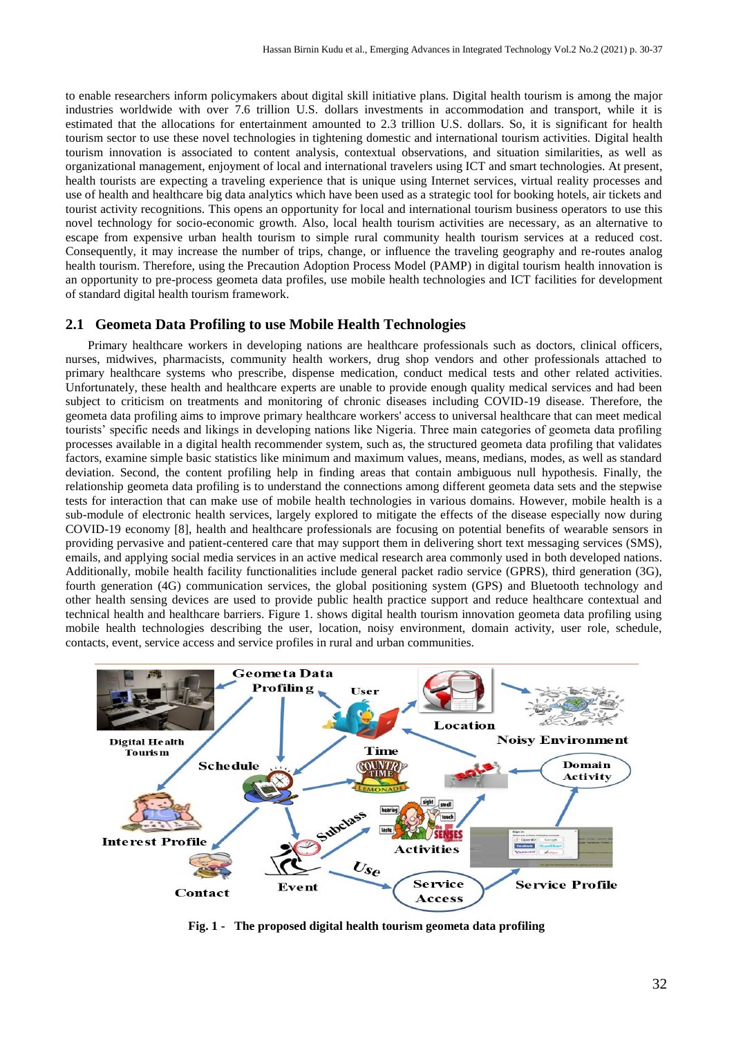to enable researchers inform policymakers about digital skill initiative plans. Digital health tourism is among the major industries worldwide with over 7.6 trillion U.S. dollars investments in accommodation and transport, while it is estimated that the allocations for entertainment amounted to 2.3 trillion U.S. dollars. So, it is significant for health tourism sector to use these novel technologies in tightening domestic and international tourism activities. Digital health tourism innovation is associated to content analysis, contextual observations, and situation similarities, as well as organizational management, enjoyment of local and international travelers using ICT and smart technologies. At present, health tourists are expecting a traveling experience that is unique using Internet services, virtual reality processes and use of health and healthcare big data analytics which have been used as a strategic tool for booking hotels, air tickets and tourist activity recognitions. This opens an opportunity for local and international tourism business operators to use this novel technology for socio-economic growth. Also, local health tourism activities are necessary, as an alternative to escape from expensive urban health tourism to simple rural community health tourism services at a reduced cost. Consequently, it may increase the number of trips, change, or influence the traveling geography and re-routes analog health tourism. Therefore, using the Precaution Adoption Process Model (PAMP) in digital tourism health innovation is an opportunity to pre-process geometa data profiles, use mobile health technologies and ICT facilities for development of standard digital health tourism framework.

#### **2.1 Geometa Data Profiling to use Mobile Health Technologies**

Primary healthcare workers in developing nations are healthcare professionals such as doctors, clinical officers, nurses, midwives, pharmacists, community health workers, drug shop vendors and other professionals attached to primary healthcare systems who prescribe, dispense medication, conduct medical tests and other related activities. Unfortunately, these health and healthcare experts are unable to provide enough quality medical services and had been subject to criticism on treatments and monitoring of chronic diseases including COVID-19 disease. Therefore, the geometa data profiling aims to improve primary healthcare workers' access to universal healthcare that can meet medical tourists' specific needs and likings in developing nations like Nigeria. Three main categories of geometa data profiling processes available in a digital health recommender system, such as, the structured geometa data profiling that validates factors, examine simple basic statistics like minimum and maximum values, means, medians, modes, as well as standard deviation. Second, the content profiling help in finding areas that contain ambiguous null hypothesis. Finally, the relationship geometa data profiling is to understand the connections among different geometa data sets and the stepwise tests for interaction that can make use of mobile health technologies in various domains. However, mobile health is a sub-module of electronic health services, largely explored to mitigate the effects of the disease especially now during COVID-19 economy [8], health and healthcare professionals are focusing on potential benefits of wearable sensors in providing pervasive and patient-centered care that may support them in delivering short text messaging services (SMS), emails, and applying social media services in an active medical research area commonly used in both developed nations. Additionally, mobile health facility functionalities include general packet radio service (GPRS), third generation (3G), fourth generation (4G) communication services, the global positioning system (GPS) and Bluetooth technology and other health sensing devices are used to provide public health practice support and reduce healthcare contextual and technical health and healthcare barriers. Figure 1. shows digital health tourism innovation geometa data profiling using mobile health technologies describing the user, location, noisy environment, domain activity, user role, schedule, contacts, event, service access and service profiles in rural and urban communities.



**Fig. 1 - The proposed digital health tourism geometa data profiling**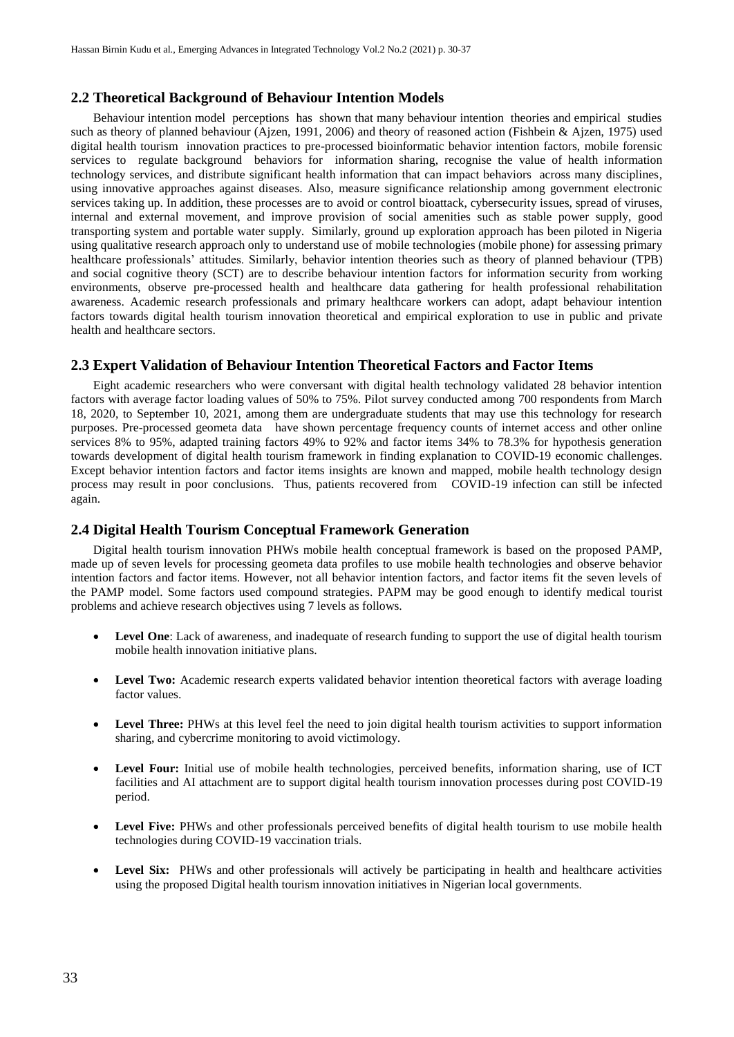# **2.2 Theoretical Background of Behaviour Intention Models**

Behaviour intention model perceptions has shown that many behaviour intention theories and empirical studies such as theory of planned behaviour (Ajzen, 1991, 2006) and theory of reasoned action (Fishbein & Ajzen, 1975) used digital health tourism innovation practices to pre-processed bioinformatic behavior intention factors, mobile forensic services to regulate background behaviors for information sharing, recognise the value of health information technology services, and distribute significant health information that can impact behaviors across many disciplines, using innovative approaches against diseases. Also, measure significance relationship among government electronic services taking up. In addition, these processes are to avoid or control bioattack, cybersecurity issues, spread of viruses, internal and external movement, and improve provision of social amenities such as stable power supply, good transporting system and portable water supply. Similarly, ground up exploration approach has been piloted in Nigeria using qualitative research approach only to understand use of mobile technologies (mobile phone) for assessing primary healthcare professionals' attitudes. Similarly, behavior intention theories such as theory of planned behaviour (TPB) and social cognitive theory (SCT) are to describe behaviour intention factors for information security from working environments, observe pre-processed health and healthcare data gathering for health professional rehabilitation awareness. Academic research professionals and primary healthcare workers can adopt, adapt behaviour intention factors towards digital health tourism innovation theoretical and empirical exploration to use in public and private health and healthcare sectors.

#### **2.3 Expert Validation of Behaviour Intention Theoretical Factors and Factor Items**

Eight academic researchers who were conversant with digital health technology validated 28 behavior intention factors with average factor loading values of 50% to 75%. Pilot survey conducted among 700 respondents from March 18, 2020, to September 10, 2021, among them are undergraduate students that may use this technology for research purposes. Pre-processed geometa data have shown percentage frequency counts of internet access and other online services 8% to 95%, adapted training factors 49% to 92% and factor items 34% to 78.3% for hypothesis generation towards development of digital health tourism framework in finding explanation to COVID-19 economic challenges. Except behavior intention factors and factor items insights are known and mapped, mobile health technology design process may result in poor conclusions. Thus, patients recovered from COVID-19 infection can still be infected again.

#### **2.4 Digital Health Tourism Conceptual Framework Generation**

Digital health tourism innovation PHWs mobile health conceptual framework is based on the proposed PAMP, made up of seven levels for processing geometa data profiles to use mobile health technologies and observe behavior intention factors and factor items. However, not all behavior intention factors, and factor items fit the seven levels of the PAMP model. Some factors used compound strategies. PAPM may be good enough to identify medical tourist problems and achieve research objectives using 7 levels as follows.

- **Level One**: Lack of awareness, and inadequate of research funding to support the use of digital health tourism mobile health innovation initiative plans.
- **Level Two:** Academic research experts validated behavior intention theoretical factors with average loading factor values.
- **Level Three:** PHWs at this level feel the need to join digital health tourism activities to support information sharing, and cybercrime monitoring to avoid victimology.
- Level Four: Initial use of mobile health technologies, perceived benefits, information sharing, use of ICT facilities and AI attachment are to support digital health tourism innovation processes during post COVID-19 period.
- Level Five: PHWs and other professionals perceived benefits of digital health tourism to use mobile health technologies during COVID-19 vaccination trials.
- Level Six: PHWs and other professionals will actively be participating in health and healthcare activities using the proposed Digital health tourism innovation initiatives in Nigerian local governments.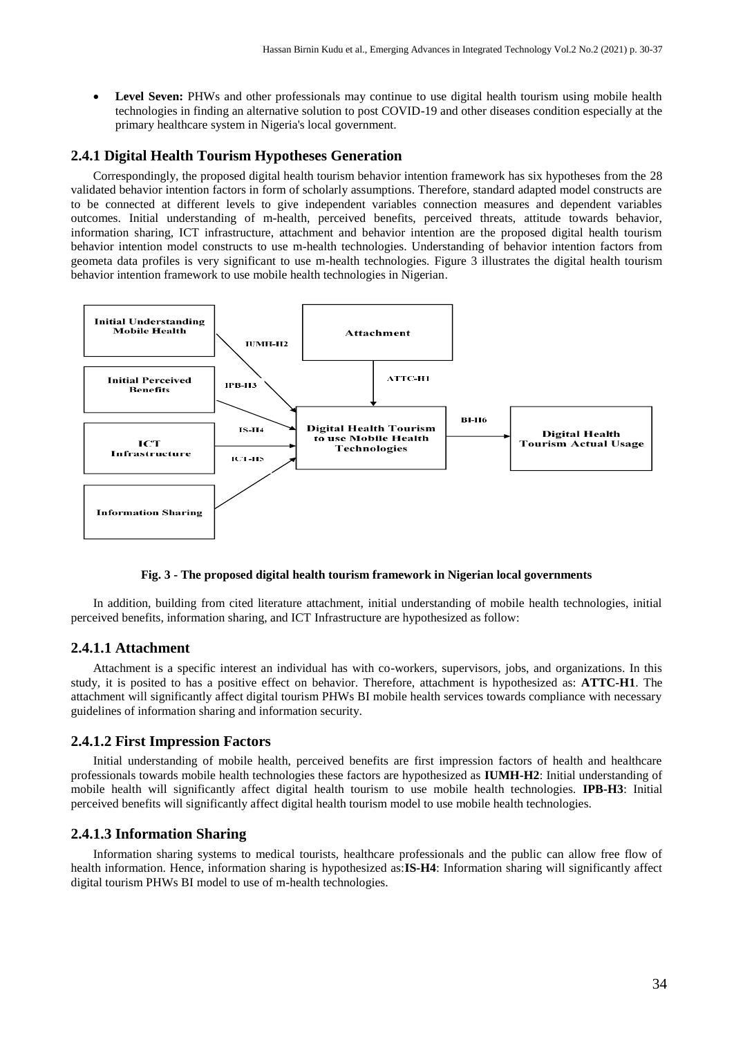**Level Seven:** PHWs and other professionals may continue to use digital health tourism using mobile health technologies in finding an alternative solution to post COVID-19 and other diseases condition especially at the primary healthcare system in Nigeria's local government.

# **2.4.1 Digital Health Tourism Hypotheses Generation**

Correspondingly, the proposed digital health tourism behavior intention framework has six hypotheses from the 28 validated behavior intention factors in form of scholarly assumptions. Therefore, standard adapted model constructs are to be connected at different levels to give independent variables connection measures and dependent variables outcomes. Initial understanding of m-health, perceived benefits, perceived threats, attitude towards behavior, information sharing, ICT infrastructure, attachment and behavior intention are the proposed digital health tourism behavior intention model constructs to use m-health technologies. Understanding of behavior intention factors from geometa data profiles is very significant to use m-health technologies. Figure 3 illustrates the digital health tourism behavior intention framework to use mobile health technologies in Nigerian.



**Fig. 3 - The proposed digital health tourism framework in Nigerian local governments**

In addition, building from cited literature attachment, initial understanding of mobile health technologies, initial perceived benefits, information sharing, and ICT Infrastructure are hypothesized as follow:

# **2.4.1.1 Attachment**

Attachment is a specific interest an individual has with co-workers, supervisors, jobs, and organizations. In this study, it is posited to has a positive effect on behavior. Therefore, attachment is hypothesized as: **ATTC-H1**. The attachment will significantly affect digital tourism PHWs BI mobile health services towards compliance with necessary guidelines of information sharing and information security.

# **2.4.1.2 First Impression Factors**

Initial understanding of mobile health, perceived benefits are first impression factors of health and healthcare professionals towards mobile health technologies these factors are hypothesized as **IUMH-H2**: Initial understanding of mobile health will significantly affect digital health tourism to use mobile health technologies. **IPB-H3**: Initial perceived benefits will significantly affect digital health tourism model to use mobile health technologies.

## **2.4.1.3 Information Sharing**

Information sharing systems to medical tourists, healthcare professionals and the public can allow free flow of health information. Hence, information sharing is hypothesized as:**IS-H4**: Information sharing will significantly affect digital tourism PHWs BI model to use of m-health technologies.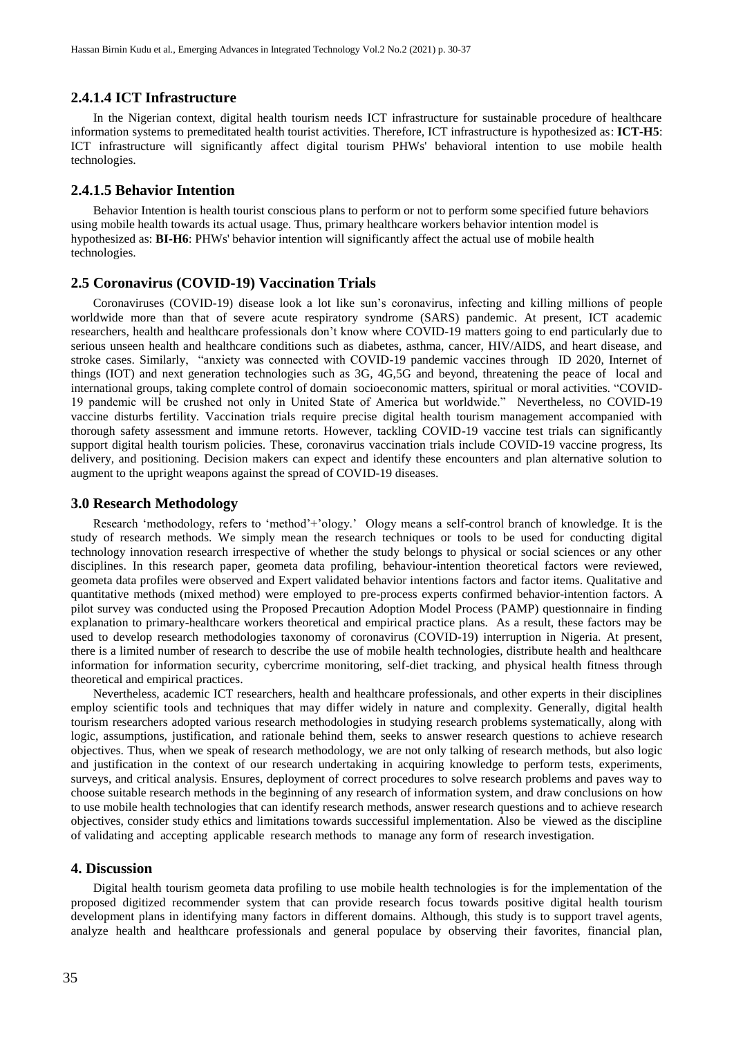## **2.4.1.4 ICT Infrastructure**

In the Nigerian context, digital health tourism needs ICT infrastructure for sustainable procedure of healthcare information systems to premeditated health tourist activities. Therefore, ICT infrastructure is hypothesized as: **ICT-H5**: ICT infrastructure will significantly affect digital tourism PHWs' behavioral intention to use mobile health technologies.

#### **2.4.1.5 Behavior Intention**

Behavior Intention is health tourist conscious plans to perform or not to perform some specified future behaviors using mobile health towards its actual usage. Thus, primary healthcare workers behavior intention model is hypothesized as: **BI-H6**: PHWs' behavior intention will significantly affect the actual use of mobile health technologies.

# **2.5 Coronavirus (COVID-19) Vaccination Trials**

Coronaviruses (COVID-19) disease look a lot like sun's coronavirus, infecting and killing millions of people worldwide more than that of severe acute respiratory syndrome (SARS) pandemic. At present, ICT academic researchers, health and healthcare professionals don't know where COVID-19 matters going to end particularly due to serious unseen health and healthcare conditions such as diabetes, asthma, cancer, HIV/AIDS, and heart disease, and stroke cases. Similarly, "anxiety was connected with COVID-19 pandemic vaccines through ID 2020, Internet of things (IOT) and next generation technologies such as 3G, 4G,5G and beyond, threatening the peace of local and international groups, taking complete control of domain socioeconomic matters, spiritual or moral activities. "COVID-19 pandemic will be crushed not only in United State of America but worldwide." Nevertheless, no COVID-19 vaccine disturbs fertility. Vaccination trials require precise digital health tourism management accompanied with thorough safety assessment and immune retorts. However, tackling COVID-19 vaccine test trials can significantly support digital health tourism policies. These, coronavirus vaccination trials include COVID-19 vaccine progress, Its delivery, and positioning. Decision makers can expect and identify these encounters and plan alternative solution to augment to the upright weapons against the spread of COVID-19 diseases.

#### **3.0 Research Methodology**

Research 'methodology, refers to 'method'+'ology.' Ology means a self-control branch of knowledge. It is the study of research methods. We simply mean the research techniques or tools to be used for conducting digital technology innovation research irrespective of whether the study belongs to physical or social sciences or any other disciplines. In this research paper, geometa data profiling, behaviour-intention theoretical factors were reviewed, geometa data profiles were observed and Expert validated behavior intentions factors and factor items. Qualitative and quantitative methods (mixed method) were employed to pre-process experts confirmed behavior-intention factors. A pilot survey was conducted using the Proposed Precaution Adoption Model Process (PAMP) questionnaire in finding explanation to primary-healthcare workers theoretical and empirical practice plans. As a result, these factors may be used to develop research methodologies taxonomy of coronavirus (COVID-19) interruption in Nigeria. At present, there is a limited number of research to describe the use of mobile health technologies, distribute health and healthcare information for information security, cybercrime monitoring, self-diet tracking, and physical health fitness through theoretical and empirical practices.

Nevertheless, academic ICT researchers, health and healthcare professionals, and other experts in their disciplines employ scientific tools and techniques that may differ widely in nature and complexity. Generally, digital health tourism researchers adopted various research methodologies in studying research problems systematically, along with logic, assumptions, justification, and rationale behind them, seeks to answer research questions to achieve research objectives. Thus, when we speak of research methodology, we are not only talking of research methods, but also logic and justification in the context of our research undertaking in acquiring knowledge to perform tests, experiments, surveys, and critical analysis. Ensures, deployment of correct procedures to solve research problems and paves way to choose suitable research methods in the beginning of any research of information system, and draw conclusions on how to use mobile health technologies that can identify research methods, answer research questions and to achieve research objectives, consider study ethics and limitations towards successiful implementation. Also be viewed as the discipline of validating and accepting applicable research methods to manage any form of research investigation.

# **4. Discussion**

Digital health tourism geometa data profiling to use mobile health technologies is for the implementation of the proposed digitized recommender system that can provide research focus towards positive digital health tourism development plans in identifying many factors in different domains. Although, this study is to support travel agents, analyze health and healthcare professionals and general populace by observing their favorites, financial plan,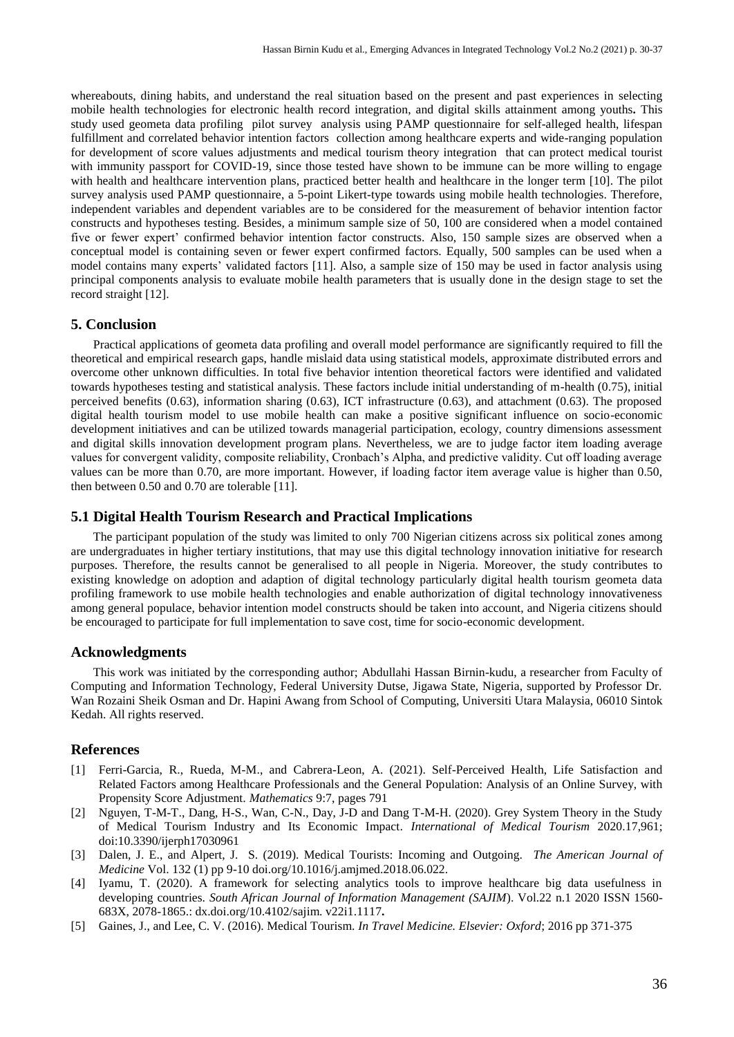whereabouts, dining habits, and understand the real situation based on the present and past experiences in selecting mobile health technologies for electronic health record integration, and digital skills attainment among youths**.** This study used geometa data profiling pilot survey analysis using PAMP questionnaire for self-alleged health, lifespan fulfillment and correlated behavior intention factors collection among healthcare experts and wide-ranging population for development of score values adjustments and medical tourism theory integration that can protect medical tourist with immunity passport for COVID-19, since those tested have shown to be immune can be more willing to engage with health and healthcare intervention plans, practiced better health and healthcare in the longer term [10]. The pilot survey analysis used PAMP questionnaire, a 5-point Likert-type towards using mobile health technologies. Therefore, independent variables and dependent variables are to be considered for the measurement of behavior intention factor constructs and hypotheses testing. Besides, a minimum sample size of 50, 100 are considered when a model contained five or fewer expert' confirmed behavior intention factor constructs. Also, 150 sample sizes are observed when a conceptual model is containing seven or fewer expert confirmed factors. Equally, 500 samples can be used when a model contains many experts' validated factors [11]. Also, a sample size of 150 may be used in factor analysis using principal components analysis to evaluate mobile health parameters that is usually done in the design stage to set the record straight [12].

#### **5. Conclusion**

Practical applications of geometa data profiling and overall model performance are significantly required to fill the theoretical and empirical research gaps, handle mislaid data using statistical models, approximate distributed errors and overcome other unknown difficulties. In total five behavior intention theoretical factors were identified and validated towards hypotheses testing and statistical analysis. These factors include initial understanding of m-health (0.75), initial perceived benefits (0.63), information sharing (0.63), ICT infrastructure (0.63), and attachment (0.63). The proposed digital health tourism model to use mobile health can make a positive significant influence on socio-economic development initiatives and can be utilized towards managerial participation, ecology, country dimensions assessment and digital skills innovation development program plans. Nevertheless, we are to judge factor item loading average values for convergent validity, composite reliability, Cronbach's Alpha, and predictive validity. Cut off loading average values can be more than 0.70, are more important. However, if loading factor item average value is higher than 0.50, then between 0.50 and 0.70 are tolerable [11].

#### **5.1 Digital Health Tourism Research and Practical Implications**

The participant population of the study was limited to only 700 Nigerian citizens across six political zones among are undergraduates in higher tertiary institutions, that may use this digital technology innovation initiative for research purposes. Therefore, the results cannot be generalised to all people in Nigeria. Moreover, the study contributes to existing knowledge on adoption and adaption of digital technology particularly digital health tourism geometa data profiling framework to use mobile health technologies and enable authorization of digital technology innovativeness among general populace, behavior intention model constructs should be taken into account, and Nigeria citizens should be encouraged to participate for full implementation to save cost, time for socio-economic development.

#### **Acknowledgments**

This work was initiated by the corresponding author; Abdullahi Hassan Birnin-kudu, a researcher from Faculty of Computing and Information Technology, Federal University Dutse, Jigawa State, Nigeria, supported by Professor Dr. Wan Rozaini Sheik Osman and Dr. Hapini Awang from School of Computing, Universiti Utara Malaysia, 06010 Sintok Kedah. All rights reserved.

#### **References**

- [1] Ferri-Garcia, R., Rueda, M-M., and Cabrera-Leon, A. (2021). Self-Perceived Health, Life Satisfaction and Related Factors among Healthcare Professionals and the General Population: Analysis of an Online Survey, with Propensity Score Adjustment. *Mathematics* 9:7, pages 791
- [2] Nguyen, T-M-T., Dang, H-S., Wan, C-N., Day, J-D and Dang T-M-H. (2020). Grey System Theory in the Study of Medical Tourism Industry and Its Economic Impact*. International of Medical Tourism* 2020.17,961; doi:10.3390/ijerph17030961
- [3] Dalen, J. E., and Alpert, J. S. (2019). Medical Tourists: Incoming and Outgoing. *The American Journal of Medicine* Vol. 132 (1) pp 9-10 doi.org/10.1016/j.amjmed.2018.06.022.
- [4] Iyamu, T. (2020). A framework for selecting analytics tools to improve healthcare big data usefulness in developing countries. *South African Journal of Information Management (SAJIM*). Vol.22 n.1 2020 ISSN 1560- 683X, 2078-1865.: dx.doi.org/10.4102/sajim. v22i1.1117**.**
- [5] Gaines, J., and Lee, C. V. (2016). Medical Tourism. *In Travel Medicine. Elsevier: Oxford*; 2016 pp 371-375